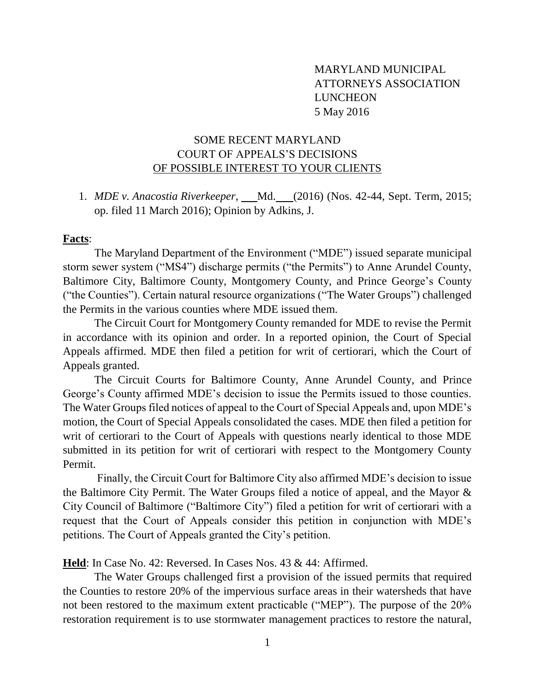## MARYLAND MUNICIPAL ATTORNEYS ASSOCIATION LUNCHEON 5 May 2016

# SOME RECENT MARYLAND COURT OF APPEALS'S DECISIONS OF POSSIBLE INTEREST TO YOUR CLIENTS

1. *MDE v. Anacostia Riverkeeper*, \_\_\_Md. \_\_\_(2016) (Nos. 42-44, Sept. Term, 2015; op. filed 11 March 2016); Opinion by Adkins, J.

#### **Facts**:

The Maryland Department of the Environment ("MDE") issued separate municipal storm sewer system ("MS4") discharge permits ("the Permits") to Anne Arundel County, Baltimore City, Baltimore County, Montgomery County, and Prince George's County ("the Counties"). Certain natural resource organizations ("The Water Groups") challenged the Permits in the various counties where MDE issued them.

The Circuit Court for Montgomery County remanded for MDE to revise the Permit in accordance with its opinion and order. In a reported opinion, the Court of Special Appeals affirmed. MDE then filed a petition for writ of certiorari, which the Court of Appeals granted.

The Circuit Courts for Baltimore County, Anne Arundel County, and Prince George's County affirmed MDE's decision to issue the Permits issued to those counties. The Water Groups filed notices of appeal to the Court of Special Appeals and, upon MDE's motion, the Court of Special Appeals consolidated the cases. MDE then filed a petition for writ of certiorari to the Court of Appeals with questions nearly identical to those MDE submitted in its petition for writ of certiorari with respect to the Montgomery County Permit.

Finally, the Circuit Court for Baltimore City also affirmed MDE's decision to issue the Baltimore City Permit. The Water Groups filed a notice of appeal, and the Mayor & City Council of Baltimore ("Baltimore City") filed a petition for writ of certiorari with a request that the Court of Appeals consider this petition in conjunction with MDE's petitions. The Court of Appeals granted the City's petition.

**Held**: In Case No. 42: Reversed. In Cases Nos. 43 & 44: Affirmed.

The Water Groups challenged first a provision of the issued permits that required the Counties to restore 20% of the impervious surface areas in their watersheds that have not been restored to the maximum extent practicable ("MEP"). The purpose of the 20% restoration requirement is to use stormwater management practices to restore the natural,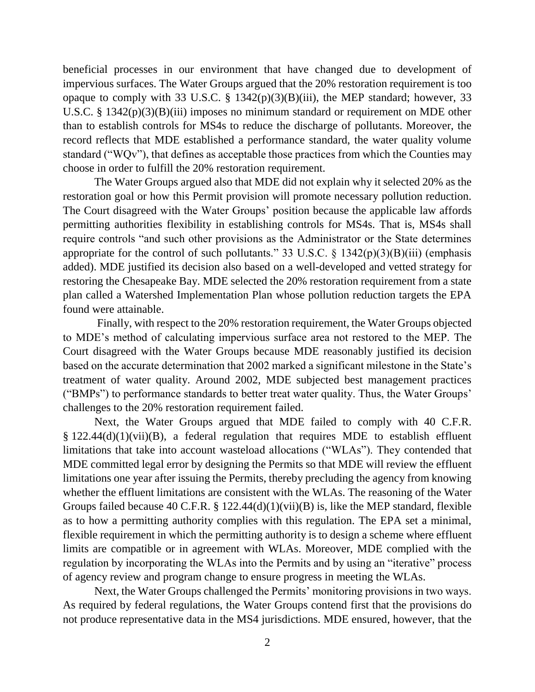beneficial processes in our environment that have changed due to development of impervious surfaces. The Water Groups argued that the 20% restoration requirement is too opaque to comply with 33 U.S.C.  $\S$  1342(p)(3)(B)(iii), the MEP standard; however, 33 U.S.C. §  $1342(p)(3)(B)(iii)$  imposes no minimum standard or requirement on MDE other than to establish controls for MS4s to reduce the discharge of pollutants. Moreover, the record reflects that MDE established a performance standard, the water quality volume standard ("WQv"), that defines as acceptable those practices from which the Counties may choose in order to fulfill the 20% restoration requirement.

The Water Groups argued also that MDE did not explain why it selected 20% as the restoration goal or how this Permit provision will promote necessary pollution reduction. The Court disagreed with the Water Groups' position because the applicable law affords permitting authorities flexibility in establishing controls for MS4s. That is, MS4s shall require controls "and such other provisions as the Administrator or the State determines appropriate for the control of such pollutants." 33 U.S.C.  $\S$  1342(p)(3)(B)(iii) (emphasis added). MDE justified its decision also based on a well-developed and vetted strategy for restoring the Chesapeake Bay. MDE selected the 20% restoration requirement from a state plan called a Watershed Implementation Plan whose pollution reduction targets the EPA found were attainable.

Finally, with respect to the 20% restoration requirement, the Water Groups objected to MDE's method of calculating impervious surface area not restored to the MEP. The Court disagreed with the Water Groups because MDE reasonably justified its decision based on the accurate determination that 2002 marked a significant milestone in the State's treatment of water quality. Around 2002, MDE subjected best management practices ("BMPs") to performance standards to better treat water quality. Thus, the Water Groups' challenges to the 20% restoration requirement failed.

Next, the Water Groups argued that MDE failed to comply with 40 C.F.R. § 122.44(d)(1)(vii)(B), a federal regulation that requires MDE to establish effluent limitations that take into account wasteload allocations ("WLAs"). They contended that MDE committed legal error by designing the Permits so that MDE will review the effluent limitations one year after issuing the Permits, thereby precluding the agency from knowing whether the effluent limitations are consistent with the WLAs. The reasoning of the Water Groups failed because 40 C.F.R. § 122.44(d)(1)(vii)(B) is, like the MEP standard, flexible as to how a permitting authority complies with this regulation. The EPA set a minimal, flexible requirement in which the permitting authority is to design a scheme where effluent limits are compatible or in agreement with WLAs. Moreover, MDE complied with the regulation by incorporating the WLAs into the Permits and by using an "iterative" process of agency review and program change to ensure progress in meeting the WLAs.

Next, the Water Groups challenged the Permits' monitoring provisions in two ways. As required by federal regulations, the Water Groups contend first that the provisions do not produce representative data in the MS4 jurisdictions. MDE ensured, however, that the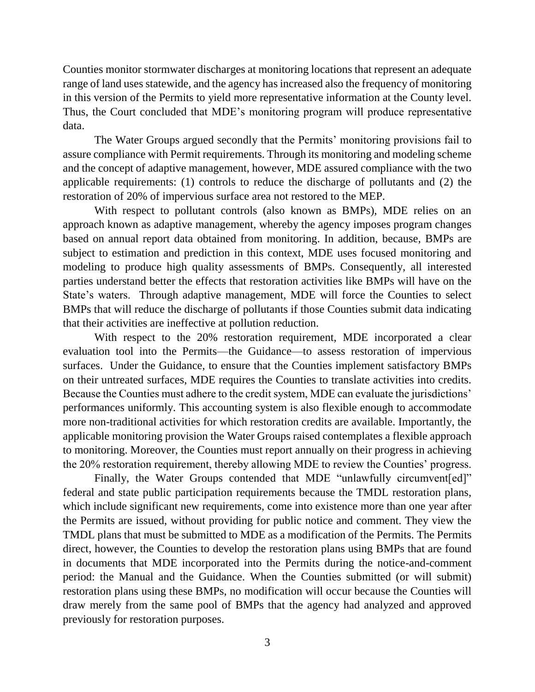Counties monitor stormwater discharges at monitoring locations that represent an adequate range of land uses statewide, and the agency has increased also the frequency of monitoring in this version of the Permits to yield more representative information at the County level. Thus, the Court concluded that MDE's monitoring program will produce representative data.

The Water Groups argued secondly that the Permits' monitoring provisions fail to assure compliance with Permit requirements. Through its monitoring and modeling scheme and the concept of adaptive management, however, MDE assured compliance with the two applicable requirements: (1) controls to reduce the discharge of pollutants and (2) the restoration of 20% of impervious surface area not restored to the MEP.

With respect to pollutant controls (also known as BMPs), MDE relies on an approach known as adaptive management, whereby the agency imposes program changes based on annual report data obtained from monitoring. In addition, because, BMPs are subject to estimation and prediction in this context, MDE uses focused monitoring and modeling to produce high quality assessments of BMPs. Consequently, all interested parties understand better the effects that restoration activities like BMPs will have on the State's waters. Through adaptive management, MDE will force the Counties to select BMPs that will reduce the discharge of pollutants if those Counties submit data indicating that their activities are ineffective at pollution reduction.

With respect to the 20% restoration requirement, MDE incorporated a clear evaluation tool into the Permits—the Guidance—to assess restoration of impervious surfaces. Under the Guidance, to ensure that the Counties implement satisfactory BMPs on their untreated surfaces, MDE requires the Counties to translate activities into credits. Because the Counties must adhere to the credit system, MDE can evaluate the jurisdictions' performances uniformly. This accounting system is also flexible enough to accommodate more non-traditional activities for which restoration credits are available. Importantly, the applicable monitoring provision the Water Groups raised contemplates a flexible approach to monitoring. Moreover, the Counties must report annually on their progress in achieving the 20% restoration requirement, thereby allowing MDE to review the Counties' progress.

Finally, the Water Groups contended that MDE "unlawfully circumvent[ed]" federal and state public participation requirements because the TMDL restoration plans, which include significant new requirements, come into existence more than one year after the Permits are issued, without providing for public notice and comment. They view the TMDL plans that must be submitted to MDE as a modification of the Permits. The Permits direct, however, the Counties to develop the restoration plans using BMPs that are found in documents that MDE incorporated into the Permits during the notice-and-comment period: the Manual and the Guidance. When the Counties submitted (or will submit) restoration plans using these BMPs, no modification will occur because the Counties will draw merely from the same pool of BMPs that the agency had analyzed and approved previously for restoration purposes.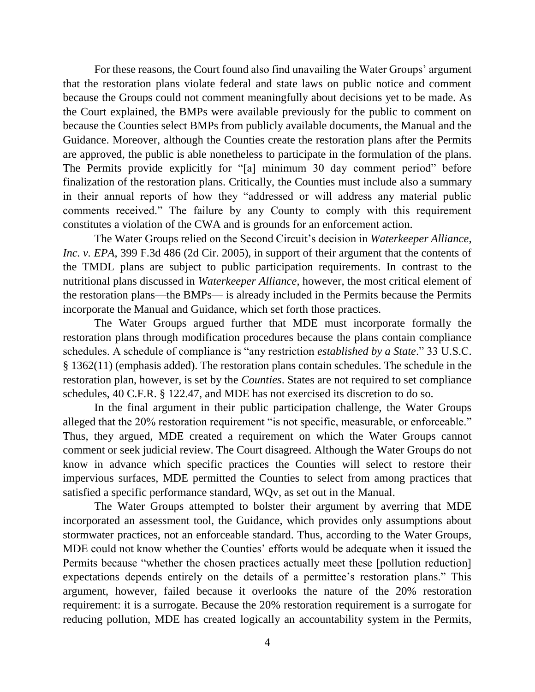For these reasons, the Court found also find unavailing the Water Groups' argument that the restoration plans violate federal and state laws on public notice and comment because the Groups could not comment meaningfully about decisions yet to be made. As the Court explained, the BMPs were available previously for the public to comment on because the Counties select BMPs from publicly available documents, the Manual and the Guidance. Moreover, although the Counties create the restoration plans after the Permits are approved, the public is able nonetheless to participate in the formulation of the plans. The Permits provide explicitly for "[a] minimum 30 day comment period" before finalization of the restoration plans. Critically, the Counties must include also a summary in their annual reports of how they "addressed or will address any material public comments received." The failure by any County to comply with this requirement constitutes a violation of the CWA and is grounds for an enforcement action.

The Water Groups relied on the Second Circuit's decision in *Waterkeeper Alliance, Inc. v. EPA*, 399 F.3d 486 (2d Cir. 2005), in support of their argument that the contents of the TMDL plans are subject to public participation requirements. In contrast to the nutritional plans discussed in *Waterkeeper Alliance*, however, the most critical element of the restoration plans—the BMPs— is already included in the Permits because the Permits incorporate the Manual and Guidance, which set forth those practices.

The Water Groups argued further that MDE must incorporate formally the restoration plans through modification procedures because the plans contain compliance schedules. A schedule of compliance is "any restriction *established by a State*." 33 U.S.C. § 1362(11) (emphasis added). The restoration plans contain schedules. The schedule in the restoration plan, however, is set by the *Counties*. States are not required to set compliance schedules, 40 C.F.R. § 122.47, and MDE has not exercised its discretion to do so.

In the final argument in their public participation challenge, the Water Groups alleged that the 20% restoration requirement "is not specific, measurable, or enforceable." Thus, they argued, MDE created a requirement on which the Water Groups cannot comment or seek judicial review. The Court disagreed. Although the Water Groups do not know in advance which specific practices the Counties will select to restore their impervious surfaces, MDE permitted the Counties to select from among practices that satisfied a specific performance standard, WQv, as set out in the Manual.

The Water Groups attempted to bolster their argument by averring that MDE incorporated an assessment tool, the Guidance, which provides only assumptions about stormwater practices, not an enforceable standard. Thus, according to the Water Groups, MDE could not know whether the Counties' efforts would be adequate when it issued the Permits because "whether the chosen practices actually meet these [pollution reduction] expectations depends entirely on the details of a permittee's restoration plans." This argument, however, failed because it overlooks the nature of the 20% restoration requirement: it is a surrogate. Because the 20% restoration requirement is a surrogate for reducing pollution, MDE has created logically an accountability system in the Permits,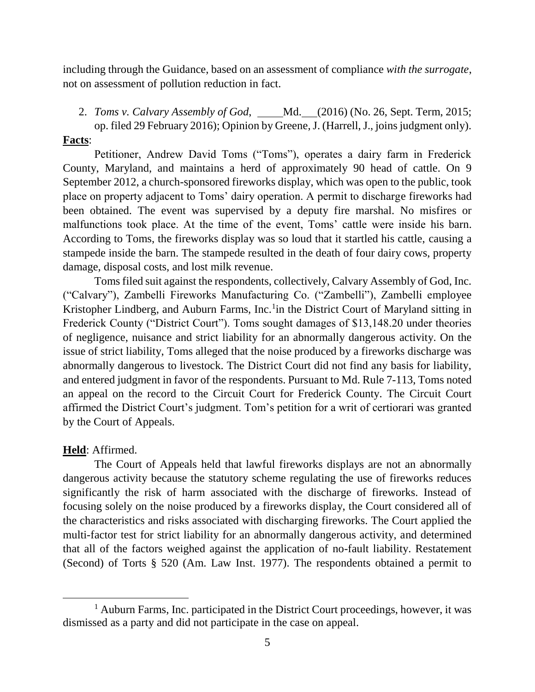including through the Guidance, based on an assessment of compliance *with the surrogate*, not on assessment of pollution reduction in fact.

2. *Toms v. Calvary Assembly of God*, Md. (2016) (No. 26, Sept. Term, 2015; op. filed 29 February 2016); Opinion by Greene, J. (Harrell, J., joins judgment only).

## **Facts**:

Petitioner, Andrew David Toms ("Toms"), operates a dairy farm in Frederick County, Maryland, and maintains a herd of approximately 90 head of cattle. On 9 September 2012, a church-sponsored fireworks display, which was open to the public, took place on property adjacent to Toms' dairy operation. A permit to discharge fireworks had been obtained. The event was supervised by a deputy fire marshal. No misfires or malfunctions took place. At the time of the event, Toms' cattle were inside his barn. According to Toms, the fireworks display was so loud that it startled his cattle, causing a stampede inside the barn. The stampede resulted in the death of four dairy cows, property damage, disposal costs, and lost milk revenue.

Toms filed suit against the respondents, collectively, Calvary Assembly of God, Inc. ("Calvary"), Zambelli Fireworks Manufacturing Co. ("Zambelli"), Zambelli employee Kristopher Lindberg, and Auburn Farms, Inc.<sup>1</sup> in the District Court of Maryland sitting in Frederick County ("District Court"). Toms sought damages of \$13,148.20 under theories of negligence, nuisance and strict liability for an abnormally dangerous activity. On the issue of strict liability, Toms alleged that the noise produced by a fireworks discharge was abnormally dangerous to livestock. The District Court did not find any basis for liability, and entered judgment in favor of the respondents. Pursuant to Md. Rule 7-113, Toms noted an appeal on the record to the Circuit Court for Frederick County. The Circuit Court affirmed the District Court's judgment. Tom's petition for a writ of certiorari was granted by the Court of Appeals.

## **Held**: Affirmed.

 $\overline{\phantom{a}}$ 

The Court of Appeals held that lawful fireworks displays are not an abnormally dangerous activity because the statutory scheme regulating the use of fireworks reduces significantly the risk of harm associated with the discharge of fireworks. Instead of focusing solely on the noise produced by a fireworks display, the Court considered all of the characteristics and risks associated with discharging fireworks. The Court applied the multi-factor test for strict liability for an abnormally dangerous activity, and determined that all of the factors weighed against the application of no-fault liability. Restatement (Second) of Torts § 520 (Am. Law Inst. 1977). The respondents obtained a permit to

<sup>&</sup>lt;sup>1</sup> Auburn Farms, Inc. participated in the District Court proceedings, however, it was dismissed as a party and did not participate in the case on appeal.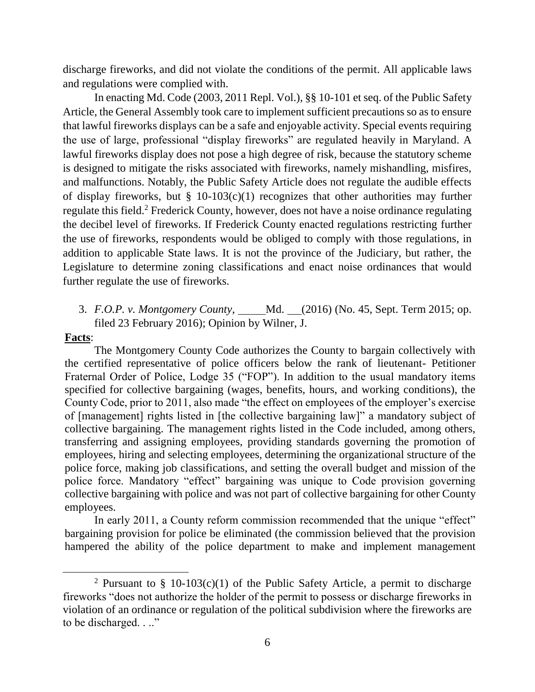discharge fireworks, and did not violate the conditions of the permit. All applicable laws and regulations were complied with.

In enacting Md. Code (2003, 2011 Repl. Vol.), §§ 10-101 et seq. of the Public Safety Article, the General Assembly took care to implement sufficient precautions so as to ensure that lawful fireworks displays can be a safe and enjoyable activity. Special events requiring the use of large, professional "display fireworks" are regulated heavily in Maryland. A lawful fireworks display does not pose a high degree of risk, because the statutory scheme is designed to mitigate the risks associated with fireworks, namely mishandling, misfires, and malfunctions. Notably, the Public Safety Article does not regulate the audible effects of display fireworks, but  $\S$  10-103(c)(1) recognizes that other authorities may further regulate this field.<sup>2</sup> Frederick County, however, does not have a noise ordinance regulating the decibel level of fireworks. If Frederick County enacted regulations restricting further the use of fireworks, respondents would be obliged to comply with those regulations, in addition to applicable State laws. It is not the province of the Judiciary, but rather, the Legislature to determine zoning classifications and enact noise ordinances that would further regulate the use of fireworks.

3. *F.O.P. v. Montgomery County*, \_\_\_\_\_Md. \_\_(2016) (No. 45, Sept. Term 2015; op. filed 23 February 2016); Opinion by Wilner, J.

### **Facts**:

 $\overline{\phantom{a}}$ 

The Montgomery County Code authorizes the County to bargain collectively with the certified representative of police officers below the rank of lieutenant- Petitioner Fraternal Order of Police, Lodge 35 ("FOP"). In addition to the usual mandatory items specified for collective bargaining (wages, benefits, hours, and working conditions), the County Code, prior to 2011, also made "the effect on employees of the employer's exercise of [management] rights listed in [the collective bargaining law]" a mandatory subject of collective bargaining. The management rights listed in the Code included, among others, transferring and assigning employees, providing standards governing the promotion of employees, hiring and selecting employees, determining the organizational structure of the police force, making job classifications, and setting the overall budget and mission of the police force. Mandatory "effect" bargaining was unique to Code provision governing collective bargaining with police and was not part of collective bargaining for other County employees.

In early 2011, a County reform commission recommended that the unique "effect" bargaining provision for police be eliminated (the commission believed that the provision hampered the ability of the police department to make and implement management

<sup>&</sup>lt;sup>2</sup> Pursuant to § 10-103(c)(1) of the Public Safety Article, a permit to discharge fireworks "does not authorize the holder of the permit to possess or discharge fireworks in violation of an ordinance or regulation of the political subdivision where the fireworks are to be discharged. . .."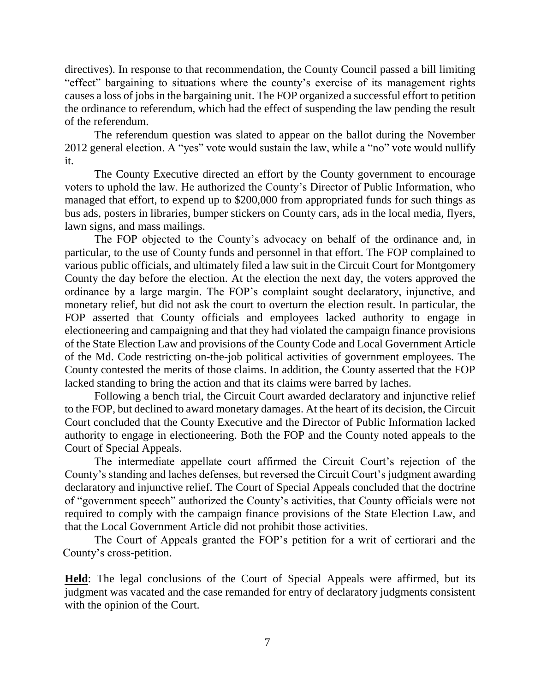directives). In response to that recommendation, the County Council passed a bill limiting "effect" bargaining to situations where the county's exercise of its management rights causes a loss of jobs in the bargaining unit. The FOP organized a successful effort to petition the ordinance to referendum, which had the effect of suspending the law pending the result of the referendum.

The referendum question was slated to appear on the ballot during the November 2012 general election. A "yes" vote would sustain the law, while a "no" vote would nullify it.

The County Executive directed an effort by the County government to encourage voters to uphold the law. He authorized the County's Director of Public Information, who managed that effort, to expend up to \$200,000 from appropriated funds for such things as bus ads, posters in libraries, bumper stickers on County cars, ads in the local media, flyers, lawn signs, and mass mailings.

The FOP objected to the County's advocacy on behalf of the ordinance and, in particular, to the use of County funds and personnel in that effort. The FOP complained to various public officials, and ultimately filed a law suit in the Circuit Court for Montgomery County the day before the election. At the election the next day, the voters approved the ordinance by a large margin. The FOP's complaint sought declaratory, injunctive, and monetary relief, but did not ask the court to overturn the election result. In particular, the FOP asserted that County officials and employees lacked authority to engage in electioneering and campaigning and that they had violated the campaign finance provisions of the State Election Law and provisions of the County Code and Local Government Article of the Md. Code restricting on-the-job political activities of government employees. The County contested the merits of those claims. In addition, the County asserted that the FOP lacked standing to bring the action and that its claims were barred by laches.

Following a bench trial, the Circuit Court awarded declaratory and injunctive relief to the FOP, but declined to award monetary damages. At the heart of its decision, the Circuit Court concluded that the County Executive and the Director of Public Information lacked authority to engage in electioneering. Both the FOP and the County noted appeals to the Court of Special Appeals.

The intermediate appellate court affirmed the Circuit Court's rejection of the County's standing and laches defenses, but reversed the Circuit Court's judgment awarding declaratory and injunctive relief. The Court of Special Appeals concluded that the doctrine of "government speech" authorized the County's activities, that County officials were not required to comply with the campaign finance provisions of the State Election Law, and that the Local Government Article did not prohibit those activities.

The Court of Appeals granted the FOP's petition for a writ of certiorari and the County's cross-petition.

**Held**: The legal conclusions of the Court of Special Appeals were affirmed, but its judgment was vacated and the case remanded for entry of declaratory judgments consistent with the opinion of the Court.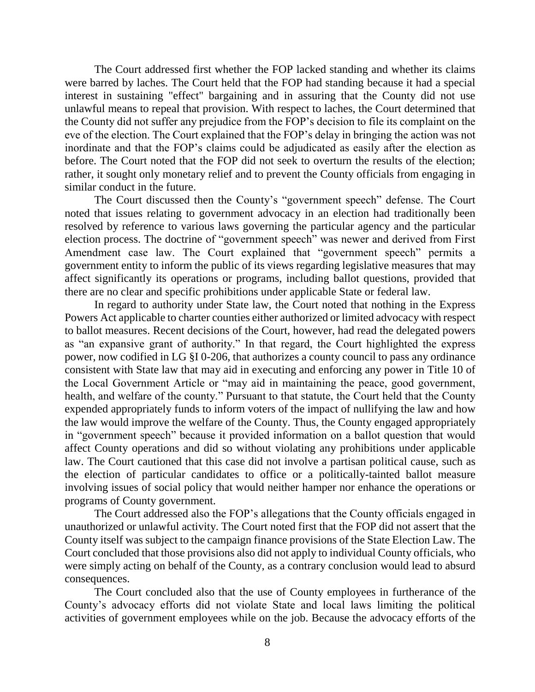The Court addressed first whether the FOP lacked standing and whether its claims were barred by laches. The Court held that the FOP had standing because it had a special interest in sustaining "effect" bargaining and in assuring that the County did not use unlawful means to repeal that provision. With respect to laches, the Court determined that the County did not suffer any prejudice from the FOP's decision to file its complaint on the eve of the election. The Court explained that the FOP's delay in bringing the action was not inordinate and that the FOP's claims could be adjudicated as easily after the election as before. The Court noted that the FOP did not seek to overturn the results of the election; rather, it sought only monetary relief and to prevent the County officials from engaging in similar conduct in the future.

The Court discussed then the County's "government speech" defense. The Court noted that issues relating to government advocacy in an election had traditionally been resolved by reference to various laws governing the particular agency and the particular election process. The doctrine of "government speech" was newer and derived from First Amendment case law. The Court explained that "government speech" permits a government entity to inform the public of its views regarding legislative measures that may affect significantly its operations or programs, including ballot questions, provided that there are no clear and specific prohibitions under applicable State or federal law.

In regard to authority under State law, the Court noted that nothing in the Express Powers Act applicable to charter counties either authorized or limited advocacy with respect to ballot measures. Recent decisions of the Court, however, had read the delegated powers as "an expansive grant of authority." In that regard, the Court highlighted the express power, now codified in LG §I 0-206, that authorizes a county council to pass any ordinance consistent with State law that may aid in executing and enforcing any power in Title 10 of the Local Government Article or "may aid in maintaining the peace, good government, health, and welfare of the county." Pursuant to that statute, the Court held that the County expended appropriately funds to inform voters of the impact of nullifying the law and how the law would improve the welfare of the County. Thus, the County engaged appropriately in "government speech" because it provided information on a ballot question that would affect County operations and did so without violating any prohibitions under applicable law. The Court cautioned that this case did not involve a partisan political cause, such as the election of particular candidates to office or a politically-tainted ballot measure involving issues of social policy that would neither hamper nor enhance the operations or programs of County government.

The Court addressed also the FOP's allegations that the County officials engaged in unauthorized or unlawful activity. The Court noted first that the FOP did not assert that the County itself was subject to the campaign finance provisions of the State Election Law. The Court concluded that those provisions also did not apply to individual County officials, who were simply acting on behalf of the County, as a contrary conclusion would lead to absurd consequences.

The Court concluded also that the use of County employees in furtherance of the County's advocacy efforts did not violate State and local laws limiting the political activities of government employees while on the job. Because the advocacy efforts of the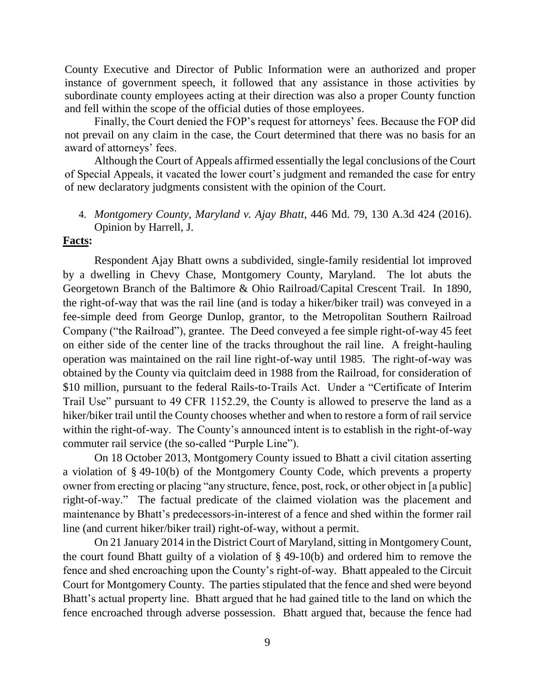County Executive and Director of Public Information were an authorized and proper instance of government speech, it followed that any assistance in those activities by subordinate county employees acting at their direction was also a proper County function and fell within the scope of the official duties of those employees.

Finally, the Court denied the FOP's request for attorneys' fees. Because the FOP did not prevail on any claim in the case, the Court determined that there was no basis for an award of attorneys' fees.

Although the Court of Appeals affirmed essentially the legal conclusions of the Court of Special Appeals, it vacated the lower court's judgment and remanded the case for entry of new declaratory judgments consistent with the opinion of the Court.

4. *Montgomery County, Maryland v. Ajay Bhatt*, 446 Md. 79, 130 A.3d 424 (2016). Opinion by Harrell, J.

## **Facts:**

Respondent Ajay Bhatt owns a subdivided, single-family residential lot improved by a dwelling in Chevy Chase, Montgomery County, Maryland. The lot abuts the Georgetown Branch of the Baltimore & Ohio Railroad/Capital Crescent Trail. In 1890, the right-of-way that was the rail line (and is today a hiker/biker trail) was conveyed in a fee-simple deed from George Dunlop, grantor, to the Metropolitan Southern Railroad Company ("the Railroad"), grantee. The Deed conveyed a fee simple right-of-way 45 feet on either side of the center line of the tracks throughout the rail line. A freight-hauling operation was maintained on the rail line right-of-way until 1985. The right-of-way was obtained by the County via quitclaim deed in 1988 from the Railroad, for consideration of \$10 million, pursuant to the federal Rails-to-Trails Act. Under a "Certificate of Interim Trail Use" pursuant to 49 CFR 1152.29, the County is allowed to preserve the land as a hiker/biker trail until the County chooses whether and when to restore a form of rail service within the right-of-way. The County's announced intent is to establish in the right-of-way commuter rail service (the so-called "Purple Line").

On 18 October 2013, Montgomery County issued to Bhatt a civil citation asserting a violation of § 49-10(b) of the Montgomery County Code, which prevents a property owner from erecting or placing "any structure, fence, post, rock, or other object in [a public] right-of-way." The factual predicate of the claimed violation was the placement and maintenance by Bhatt's predecessors-in-interest of a fence and shed within the former rail line (and current hiker/biker trail) right-of-way, without a permit.

On 21 January 2014 in the District Court of Maryland, sitting in Montgomery Count, the court found Bhatt guilty of a violation of § 49-10(b) and ordered him to remove the fence and shed encroaching upon the County's right-of-way. Bhatt appealed to the Circuit Court for Montgomery County. The parties stipulated that the fence and shed were beyond Bhatt's actual property line. Bhatt argued that he had gained title to the land on which the fence encroached through adverse possession. Bhatt argued that, because the fence had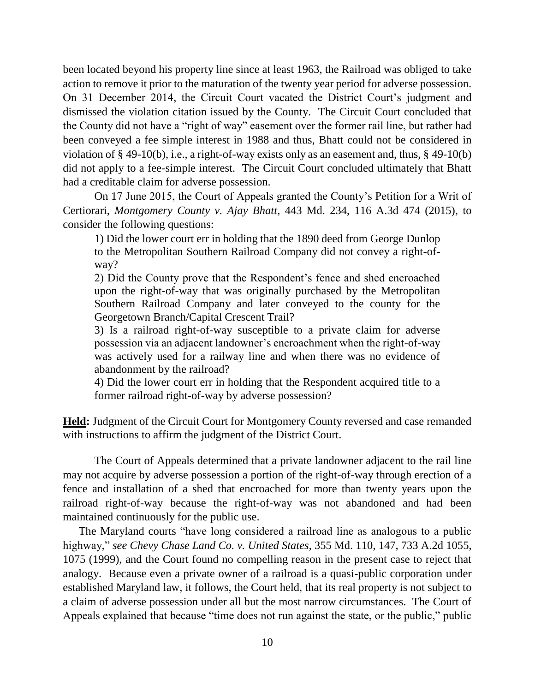been located beyond his property line since at least 1963, the Railroad was obliged to take action to remove it prior to the maturation of the twenty year period for adverse possession. On 31 December 2014, the Circuit Court vacated the District Court's judgment and dismissed the violation citation issued by the County. The Circuit Court concluded that the County did not have a "right of way" easement over the former rail line, but rather had been conveyed a fee simple interest in 1988 and thus, Bhatt could not be considered in violation of § 49-10(b), i.e., a right-of-way exists only as an easement and, thus, § 49-10(b) did not apply to a fee-simple interest. The Circuit Court concluded ultimately that Bhatt had a creditable claim for adverse possession.

On 17 June 2015, the Court of Appeals granted the County's Petition for a Writ of Certiorari, *Montgomery County v. Ajay Bhatt*, 443 Md. 234, 116 A.3d 474 (2015), to consider the following questions:

1) Did the lower court err in holding that the 1890 deed from George Dunlop to the Metropolitan Southern Railroad Company did not convey a right-ofway?

2) Did the County prove that the Respondent's fence and shed encroached upon the right-of-way that was originally purchased by the Metropolitan Southern Railroad Company and later conveyed to the county for the Georgetown Branch/Capital Crescent Trail?

3) Is a railroad right-of-way susceptible to a private claim for adverse possession via an adjacent landowner's encroachment when the right-of-way was actively used for a railway line and when there was no evidence of abandonment by the railroad?

4) Did the lower court err in holding that the Respondent acquired title to a former railroad right-of-way by adverse possession?

**Held:** Judgment of the Circuit Court for Montgomery County reversed and case remanded with instructions to affirm the judgment of the District Court.

The Court of Appeals determined that a private landowner adjacent to the rail line may not acquire by adverse possession a portion of the right-of-way through erection of a fence and installation of a shed that encroached for more than twenty years upon the railroad right-of-way because the right-of-way was not abandoned and had been maintained continuously for the public use.

The Maryland courts "have long considered a railroad line as analogous to a public highway," *see Chevy Chase Land Co. v. United States*, 355 Md. 110, 147, 733 A.2d 1055, 1075 (1999), and the Court found no compelling reason in the present case to reject that analogy. Because even a private owner of a railroad is a quasi-public corporation under established Maryland law, it follows, the Court held, that its real property is not subject to a claim of adverse possession under all but the most narrow circumstances. The Court of Appeals explained that because "time does not run against the state, or the public," public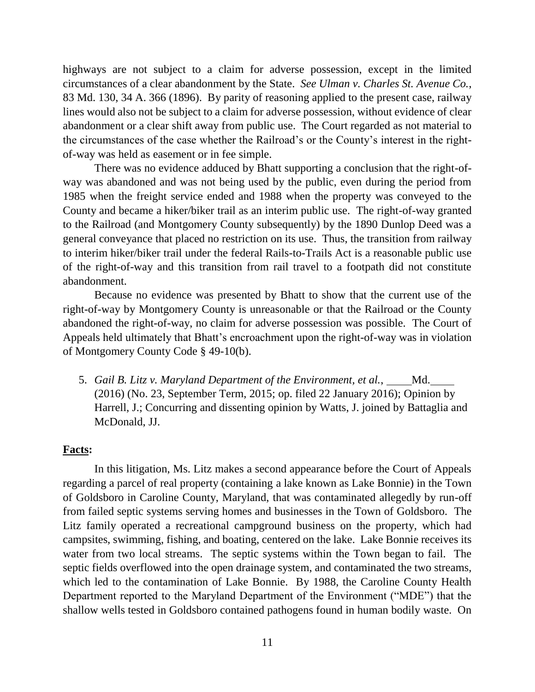highways are not subject to a claim for adverse possession, except in the limited circumstances of a clear abandonment by the State. *See Ulman v. Charles St. Avenue Co.*, 83 Md. 130, 34 A. 366 (1896). By parity of reasoning applied to the present case, railway lines would also not be subject to a claim for adverse possession, without evidence of clear abandonment or a clear shift away from public use. The Court regarded as not material to the circumstances of the case whether the Railroad's or the County's interest in the rightof-way was held as easement or in fee simple.

There was no evidence adduced by Bhatt supporting a conclusion that the right-ofway was abandoned and was not being used by the public, even during the period from 1985 when the freight service ended and 1988 when the property was conveyed to the County and became a hiker/biker trail as an interim public use. The right-of-way granted to the Railroad (and Montgomery County subsequently) by the 1890 Dunlop Deed was a general conveyance that placed no restriction on its use. Thus, the transition from railway to interim hiker/biker trail under the federal Rails-to-Trails Act is a reasonable public use of the right-of-way and this transition from rail travel to a footpath did not constitute abandonment.

Because no evidence was presented by Bhatt to show that the current use of the right-of-way by Montgomery County is unreasonable or that the Railroad or the County abandoned the right-of-way, no claim for adverse possession was possible. The Court of Appeals held ultimately that Bhatt's encroachment upon the right-of-way was in violation of Montgomery County Code § 49-10(b).

5. *Gail B. Litz v. Maryland Department of the Environment, et al.*, Md. (2016) (No. 23, September Term, 2015; op. filed 22 January 2016); Opinion by Harrell, J.; Concurring and dissenting opinion by Watts, J. joined by Battaglia and McDonald, JJ.

#### **Facts:**

In this litigation, Ms. Litz makes a second appearance before the Court of Appeals regarding a parcel of real property (containing a lake known as Lake Bonnie) in the Town of Goldsboro in Caroline County, Maryland, that was contaminated allegedly by run-off from failed septic systems serving homes and businesses in the Town of Goldsboro. The Litz family operated a recreational campground business on the property, which had campsites, swimming, fishing, and boating, centered on the lake. Lake Bonnie receives its water from two local streams. The septic systems within the Town began to fail. The septic fields overflowed into the open drainage system, and contaminated the two streams, which led to the contamination of Lake Bonnie. By 1988, the Caroline County Health Department reported to the Maryland Department of the Environment ("MDE") that the shallow wells tested in Goldsboro contained pathogens found in human bodily waste. On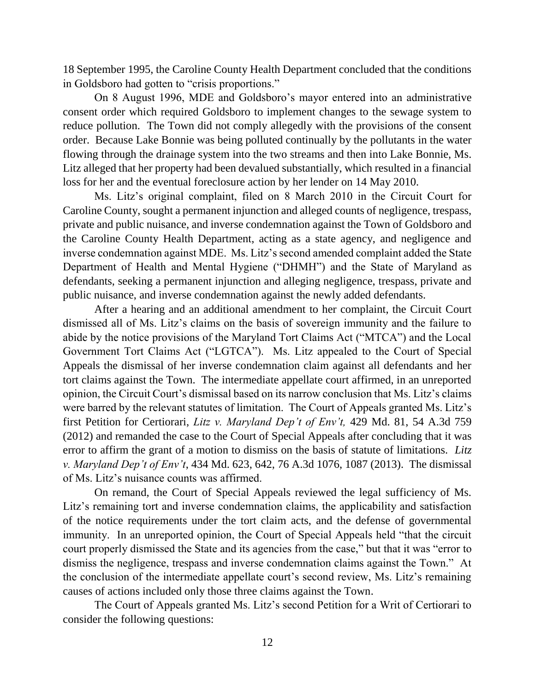18 September 1995, the Caroline County Health Department concluded that the conditions in Goldsboro had gotten to "crisis proportions."

On 8 August 1996, MDE and Goldsboro's mayor entered into an administrative consent order which required Goldsboro to implement changes to the sewage system to reduce pollution. The Town did not comply allegedly with the provisions of the consent order. Because Lake Bonnie was being polluted continually by the pollutants in the water flowing through the drainage system into the two streams and then into Lake Bonnie, Ms. Litz alleged that her property had been devalued substantially, which resulted in a financial loss for her and the eventual foreclosure action by her lender on 14 May 2010.

Ms. Litz's original complaint, filed on 8 March 2010 in the Circuit Court for Caroline County, sought a permanent injunction and alleged counts of negligence, trespass, private and public nuisance, and inverse condemnation against the Town of Goldsboro and the Caroline County Health Department, acting as a state agency, and negligence and inverse condemnation against MDE. Ms. Litz's second amended complaint added the State Department of Health and Mental Hygiene ("DHMH") and the State of Maryland as defendants, seeking a permanent injunction and alleging negligence, trespass, private and public nuisance, and inverse condemnation against the newly added defendants.

After a hearing and an additional amendment to her complaint, the Circuit Court dismissed all of Ms. Litz's claims on the basis of sovereign immunity and the failure to abide by the notice provisions of the Maryland Tort Claims Act ("MTCA") and the Local Government Tort Claims Act ("LGTCA"). Ms. Litz appealed to the Court of Special Appeals the dismissal of her inverse condemnation claim against all defendants and her tort claims against the Town. The intermediate appellate court affirmed, in an unreported opinion, the Circuit Court's dismissal based on its narrow conclusion that Ms. Litz's claims were barred by the relevant statutes of limitation. The Court of Appeals granted Ms. Litz's first Petition for Certiorari, *Litz v. Maryland Dep't of Env't,* 429 Md. 81, 54 A.3d 759 (2012) and remanded the case to the Court of Special Appeals after concluding that it was error to affirm the grant of a motion to dismiss on the basis of statute of limitations. *Litz v. Maryland Dep't of Env't*, 434 Md. 623, 642, 76 A.3d 1076, 1087 (2013). The dismissal of Ms. Litz's nuisance counts was affirmed.

On remand, the Court of Special Appeals reviewed the legal sufficiency of Ms. Litz's remaining tort and inverse condemnation claims, the applicability and satisfaction of the notice requirements under the tort claim acts, and the defense of governmental immunity. In an unreported opinion, the Court of Special Appeals held "that the circuit court properly dismissed the State and its agencies from the case," but that it was "error to dismiss the negligence, trespass and inverse condemnation claims against the Town." At the conclusion of the intermediate appellate court's second review, Ms. Litz's remaining causes of actions included only those three claims against the Town.

The Court of Appeals granted Ms. Litz's second Petition for a Writ of Certiorari to consider the following questions: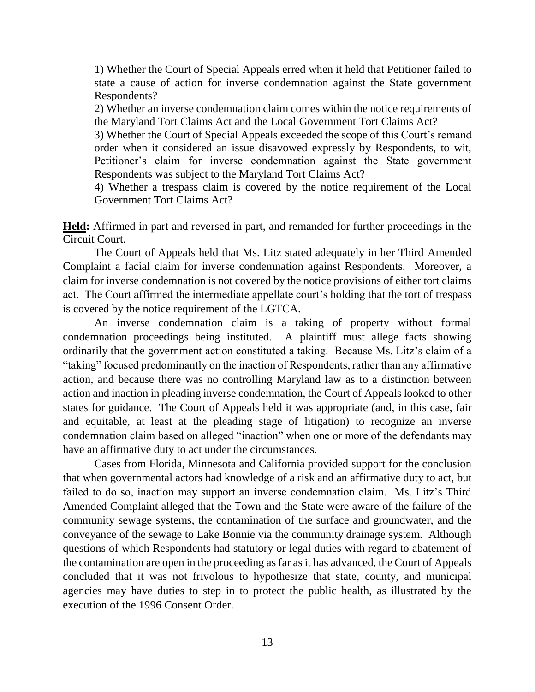1) Whether the Court of Special Appeals erred when it held that Petitioner failed to state a cause of action for inverse condemnation against the State government Respondents?

2) Whether an inverse condemnation claim comes within the notice requirements of the Maryland Tort Claims Act and the Local Government Tort Claims Act?

3) Whether the Court of Special Appeals exceeded the scope of this Court's remand order when it considered an issue disavowed expressly by Respondents, to wit, Petitioner's claim for inverse condemnation against the State government Respondents was subject to the Maryland Tort Claims Act?

4) Whether a trespass claim is covered by the notice requirement of the Local Government Tort Claims Act?

**Held:** Affirmed in part and reversed in part, and remanded for further proceedings in the Circuit Court.

The Court of Appeals held that Ms. Litz stated adequately in her Third Amended Complaint a facial claim for inverse condemnation against Respondents. Moreover, a claim for inverse condemnation is not covered by the notice provisions of either tort claims act. The Court affirmed the intermediate appellate court's holding that the tort of trespass is covered by the notice requirement of the LGTCA.

An inverse condemnation claim is a taking of property without formal condemnation proceedings being instituted. A plaintiff must allege facts showing ordinarily that the government action constituted a taking. Because Ms. Litz's claim of a "taking" focused predominantly on the inaction of Respondents, rather than any affirmative action, and because there was no controlling Maryland law as to a distinction between action and inaction in pleading inverse condemnation, the Court of Appeals looked to other states for guidance. The Court of Appeals held it was appropriate (and, in this case, fair and equitable, at least at the pleading stage of litigation) to recognize an inverse condemnation claim based on alleged "inaction" when one or more of the defendants may have an affirmative duty to act under the circumstances.

Cases from Florida, Minnesota and California provided support for the conclusion that when governmental actors had knowledge of a risk and an affirmative duty to act, but failed to do so, inaction may support an inverse condemnation claim. Ms. Litz's Third Amended Complaint alleged that the Town and the State were aware of the failure of the community sewage systems, the contamination of the surface and groundwater, and the conveyance of the sewage to Lake Bonnie via the community drainage system. Although questions of which Respondents had statutory or legal duties with regard to abatement of the contamination are open in the proceeding as far as it has advanced, the Court of Appeals concluded that it was not frivolous to hypothesize that state, county, and municipal agencies may have duties to step in to protect the public health, as illustrated by the execution of the 1996 Consent Order.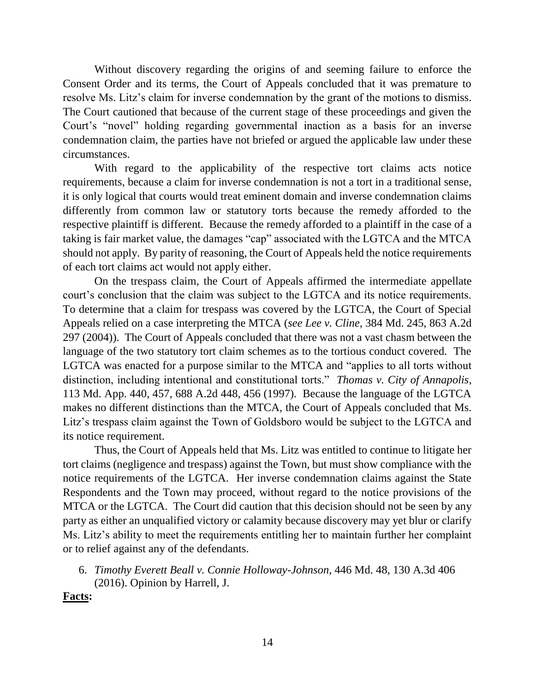Without discovery regarding the origins of and seeming failure to enforce the Consent Order and its terms, the Court of Appeals concluded that it was premature to resolve Ms. Litz's claim for inverse condemnation by the grant of the motions to dismiss. The Court cautioned that because of the current stage of these proceedings and given the Court's "novel" holding regarding governmental inaction as a basis for an inverse condemnation claim, the parties have not briefed or argued the applicable law under these circumstances.

With regard to the applicability of the respective tort claims acts notice requirements, because a claim for inverse condemnation is not a tort in a traditional sense, it is only logical that courts would treat eminent domain and inverse condemnation claims differently from common law or statutory torts because the remedy afforded to the respective plaintiff is different. Because the remedy afforded to a plaintiff in the case of a taking is fair market value, the damages "cap" associated with the LGTCA and the MTCA should not apply. By parity of reasoning, the Court of Appeals held the notice requirements of each tort claims act would not apply either.

On the trespass claim, the Court of Appeals affirmed the intermediate appellate court's conclusion that the claim was subject to the LGTCA and its notice requirements. To determine that a claim for trespass was covered by the LGTCA, the Court of Special Appeals relied on a case interpreting the MTCA (*see Lee v. Cline*, 384 Md. 245, 863 A.2d 297 (2004)). The Court of Appeals concluded that there was not a vast chasm between the language of the two statutory tort claim schemes as to the tortious conduct covered. The LGTCA was enacted for a purpose similar to the MTCA and "applies to all torts without distinction, including intentional and constitutional torts." *Thomas v. City of Annapolis*, 113 Md. App. 440, 457, 688 A.2d 448, 456 (1997). Because the language of the LGTCA makes no different distinctions than the MTCA, the Court of Appeals concluded that Ms. Litz's trespass claim against the Town of Goldsboro would be subject to the LGTCA and its notice requirement.

Thus, the Court of Appeals held that Ms. Litz was entitled to continue to litigate her tort claims (negligence and trespass) against the Town, but must show compliance with the notice requirements of the LGTCA. Her inverse condemnation claims against the State Respondents and the Town may proceed, without regard to the notice provisions of the MTCA or the LGTCA. The Court did caution that this decision should not be seen by any party as either an unqualified victory or calamity because discovery may yet blur or clarify Ms. Litz's ability to meet the requirements entitling her to maintain further her complaint or to relief against any of the defendants.

6. *Timothy Everett Beall v. Connie Holloway-Johnson*, 446 Md. 48, 130 A.3d 406 (2016). Opinion by Harrell, J.

**Facts:**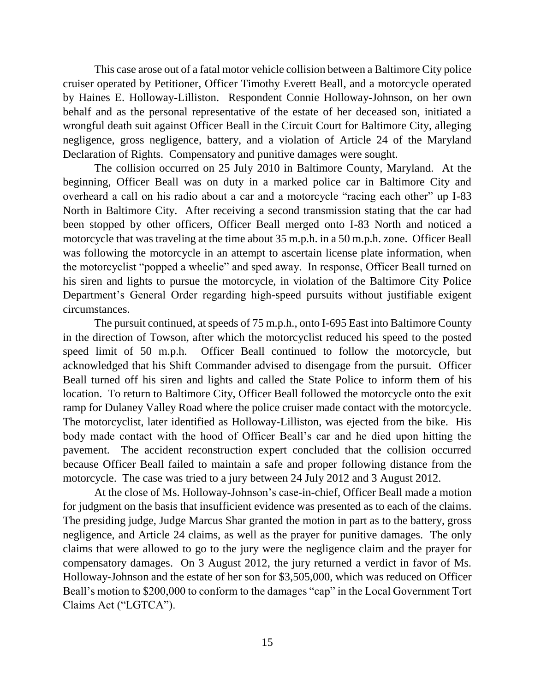This case arose out of a fatal motor vehicle collision between a Baltimore City police cruiser operated by Petitioner, Officer Timothy Everett Beall, and a motorcycle operated by Haines E. Holloway-Lilliston. Respondent Connie Holloway-Johnson, on her own behalf and as the personal representative of the estate of her deceased son, initiated a wrongful death suit against Officer Beall in the Circuit Court for Baltimore City, alleging negligence, gross negligence, battery, and a violation of Article 24 of the Maryland Declaration of Rights. Compensatory and punitive damages were sought.

The collision occurred on 25 July 2010 in Baltimore County, Maryland. At the beginning, Officer Beall was on duty in a marked police car in Baltimore City and overheard a call on his radio about a car and a motorcycle "racing each other" up I-83 North in Baltimore City. After receiving a second transmission stating that the car had been stopped by other officers, Officer Beall merged onto I-83 North and noticed a motorcycle that was traveling at the time about 35 m.p.h. in a 50 m.p.h. zone. Officer Beall was following the motorcycle in an attempt to ascertain license plate information, when the motorcyclist "popped a wheelie" and sped away. In response, Officer Beall turned on his siren and lights to pursue the motorcycle, in violation of the Baltimore City Police Department's General Order regarding high-speed pursuits without justifiable exigent circumstances.

The pursuit continued, at speeds of 75 m.p.h., onto I-695 East into Baltimore County in the direction of Towson, after which the motorcyclist reduced his speed to the posted speed limit of 50 m.p.h. Officer Beall continued to follow the motorcycle, but acknowledged that his Shift Commander advised to disengage from the pursuit. Officer Beall turned off his siren and lights and called the State Police to inform them of his location. To return to Baltimore City, Officer Beall followed the motorcycle onto the exit ramp for Dulaney Valley Road where the police cruiser made contact with the motorcycle. The motorcyclist, later identified as Holloway-Lilliston, was ejected from the bike. His body made contact with the hood of Officer Beall's car and he died upon hitting the pavement. The accident reconstruction expert concluded that the collision occurred because Officer Beall failed to maintain a safe and proper following distance from the motorcycle. The case was tried to a jury between 24 July 2012 and 3 August 2012.

At the close of Ms. Holloway-Johnson's case-in-chief, Officer Beall made a motion for judgment on the basis that insufficient evidence was presented as to each of the claims. The presiding judge, Judge Marcus Shar granted the motion in part as to the battery, gross negligence, and Article 24 claims, as well as the prayer for punitive damages. The only claims that were allowed to go to the jury were the negligence claim and the prayer for compensatory damages. On 3 August 2012, the jury returned a verdict in favor of Ms. Holloway-Johnson and the estate of her son for \$3,505,000, which was reduced on Officer Beall's motion to \$200,000 to conform to the damages "cap" in the Local Government Tort Claims Act ("LGTCA").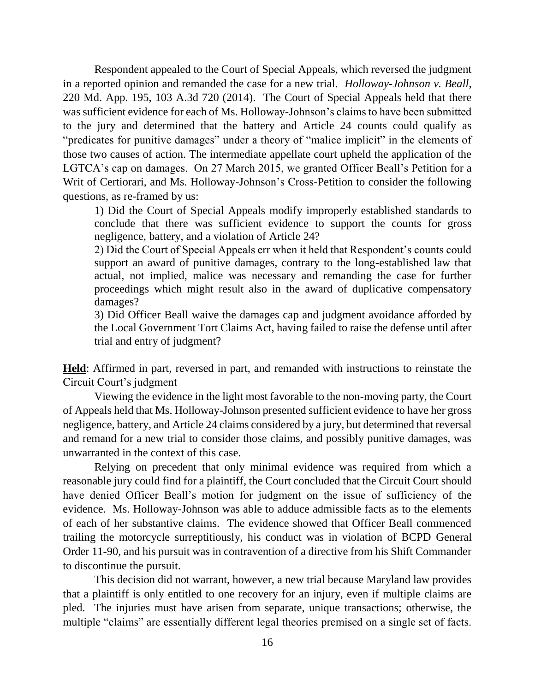Respondent appealed to the Court of Special Appeals, which reversed the judgment in a reported opinion and remanded the case for a new trial. *Holloway-Johnson v. Beall*, 220 Md. App. 195, 103 A.3d 720 (2014). The Court of Special Appeals held that there was sufficient evidence for each of Ms. Holloway-Johnson's claims to have been submitted to the jury and determined that the battery and Article 24 counts could qualify as "predicates for punitive damages" under a theory of "malice implicit" in the elements of those two causes of action. The intermediate appellate court upheld the application of the LGTCA's cap on damages. On 27 March 2015, we granted Officer Beall's Petition for a Writ of Certiorari, and Ms. Holloway-Johnson's Cross-Petition to consider the following questions, as re-framed by us:

1) Did the Court of Special Appeals modify improperly established standards to conclude that there was sufficient evidence to support the counts for gross negligence, battery, and a violation of Article 24?

2) Did the Court of Special Appeals err when it held that Respondent's counts could support an award of punitive damages, contrary to the long-established law that actual, not implied, malice was necessary and remanding the case for further proceedings which might result also in the award of duplicative compensatory damages?

3) Did Officer Beall waive the damages cap and judgment avoidance afforded by the Local Government Tort Claims Act, having failed to raise the defense until after trial and entry of judgment?

**Held**: Affirmed in part, reversed in part, and remanded with instructions to reinstate the Circuit Court's judgment

Viewing the evidence in the light most favorable to the non-moving party, the Court of Appeals held that Ms. Holloway-Johnson presented sufficient evidence to have her gross negligence, battery, and Article 24 claims considered by a jury, but determined that reversal and remand for a new trial to consider those claims, and possibly punitive damages, was unwarranted in the context of this case.

Relying on precedent that only minimal evidence was required from which a reasonable jury could find for a plaintiff, the Court concluded that the Circuit Court should have denied Officer Beall's motion for judgment on the issue of sufficiency of the evidence. Ms. Holloway-Johnson was able to adduce admissible facts as to the elements of each of her substantive claims. The evidence showed that Officer Beall commenced trailing the motorcycle surreptitiously, his conduct was in violation of BCPD General Order 11-90, and his pursuit was in contravention of a directive from his Shift Commander to discontinue the pursuit.

This decision did not warrant, however, a new trial because Maryland law provides that a plaintiff is only entitled to one recovery for an injury, even if multiple claims are pled. The injuries must have arisen from separate, unique transactions; otherwise, the multiple "claims" are essentially different legal theories premised on a single set of facts.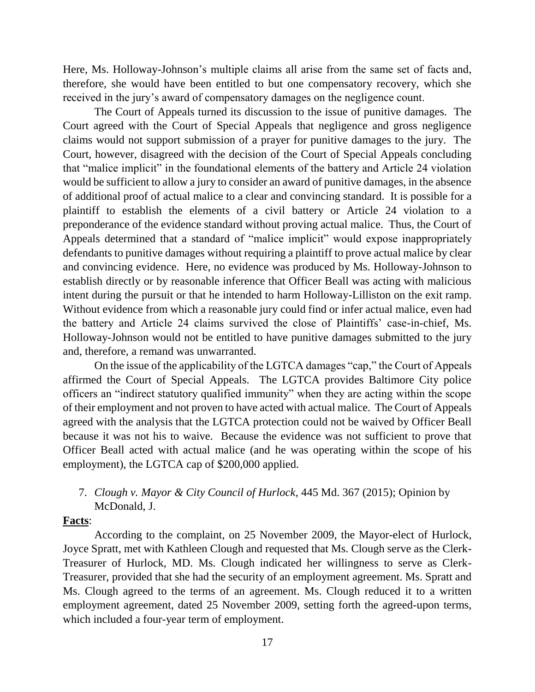Here, Ms. Holloway-Johnson's multiple claims all arise from the same set of facts and, therefore, she would have been entitled to but one compensatory recovery, which she received in the jury's award of compensatory damages on the negligence count.

The Court of Appeals turned its discussion to the issue of punitive damages. The Court agreed with the Court of Special Appeals that negligence and gross negligence claims would not support submission of a prayer for punitive damages to the jury. The Court, however, disagreed with the decision of the Court of Special Appeals concluding that "malice implicit" in the foundational elements of the battery and Article 24 violation would be sufficient to allow a jury to consider an award of punitive damages, in the absence of additional proof of actual malice to a clear and convincing standard. It is possible for a plaintiff to establish the elements of a civil battery or Article 24 violation to a preponderance of the evidence standard without proving actual malice. Thus, the Court of Appeals determined that a standard of "malice implicit" would expose inappropriately defendants to punitive damages without requiring a plaintiff to prove actual malice by clear and convincing evidence. Here, no evidence was produced by Ms. Holloway-Johnson to establish directly or by reasonable inference that Officer Beall was acting with malicious intent during the pursuit or that he intended to harm Holloway-Lilliston on the exit ramp. Without evidence from which a reasonable jury could find or infer actual malice, even had the battery and Article 24 claims survived the close of Plaintiffs' case-in-chief, Ms. Holloway-Johnson would not be entitled to have punitive damages submitted to the jury and, therefore, a remand was unwarranted.

On the issue of the applicability of the LGTCA damages "cap," the Court of Appeals affirmed the Court of Special Appeals. The LGTCA provides Baltimore City police officers an "indirect statutory qualified immunity" when they are acting within the scope of their employment and not proven to have acted with actual malice. The Court of Appeals agreed with the analysis that the LGTCA protection could not be waived by Officer Beall because it was not his to waive. Because the evidence was not sufficient to prove that Officer Beall acted with actual malice (and he was operating within the scope of his employment), the LGTCA cap of \$200,000 applied.

7. *Clough v. Mayor & City Council of Hurlock*, 445 Md. 367 (2015); Opinion by McDonald, J.

#### **Facts**:

According to the complaint, on 25 November 2009, the Mayor-elect of Hurlock, Joyce Spratt, met with Kathleen Clough and requested that Ms. Clough serve as the Clerk-Treasurer of Hurlock, MD. Ms. Clough indicated her willingness to serve as Clerk-Treasurer, provided that she had the security of an employment agreement. Ms. Spratt and Ms. Clough agreed to the terms of an agreement. Ms. Clough reduced it to a written employment agreement, dated 25 November 2009, setting forth the agreed-upon terms, which included a four-year term of employment.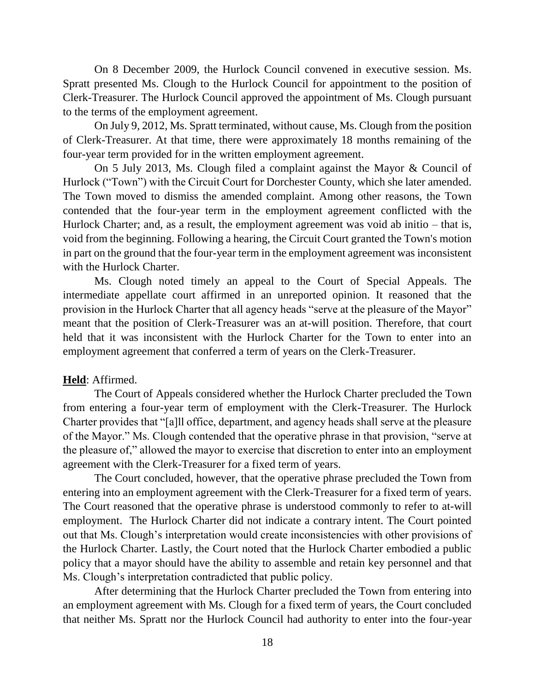On 8 December 2009, the Hurlock Council convened in executive session. Ms. Spratt presented Ms. Clough to the Hurlock Council for appointment to the position of Clerk-Treasurer. The Hurlock Council approved the appointment of Ms. Clough pursuant to the terms of the employment agreement.

On July 9, 2012, Ms. Spratt terminated, without cause, Ms. Clough from the position of Clerk-Treasurer. At that time, there were approximately 18 months remaining of the four-year term provided for in the written employment agreement.

On 5 July 2013, Ms. Clough filed a complaint against the Mayor & Council of Hurlock ("Town") with the Circuit Court for Dorchester County, which she later amended. The Town moved to dismiss the amended complaint. Among other reasons, the Town contended that the four-year term in the employment agreement conflicted with the Hurlock Charter; and, as a result, the employment agreement was void ab initio – that is, void from the beginning. Following a hearing, the Circuit Court granted the Town's motion in part on the ground that the four-year term in the employment agreement was inconsistent with the Hurlock Charter.

Ms. Clough noted timely an appeal to the Court of Special Appeals. The intermediate appellate court affirmed in an unreported opinion. It reasoned that the provision in the Hurlock Charter that all agency heads "serve at the pleasure of the Mayor" meant that the position of Clerk-Treasurer was an at-will position. Therefore, that court held that it was inconsistent with the Hurlock Charter for the Town to enter into an employment agreement that conferred a term of years on the Clerk-Treasurer.

### **Held**: Affirmed.

The Court of Appeals considered whether the Hurlock Charter precluded the Town from entering a four-year term of employment with the Clerk-Treasurer. The Hurlock Charter provides that "[a]ll office, department, and agency heads shall serve at the pleasure of the Mayor." Ms. Clough contended that the operative phrase in that provision, "serve at the pleasure of," allowed the mayor to exercise that discretion to enter into an employment agreement with the Clerk-Treasurer for a fixed term of years.

The Court concluded, however, that the operative phrase precluded the Town from entering into an employment agreement with the Clerk-Treasurer for a fixed term of years. The Court reasoned that the operative phrase is understood commonly to refer to at-will employment. The Hurlock Charter did not indicate a contrary intent. The Court pointed out that Ms. Clough's interpretation would create inconsistencies with other provisions of the Hurlock Charter. Lastly, the Court noted that the Hurlock Charter embodied a public policy that a mayor should have the ability to assemble and retain key personnel and that Ms. Clough's interpretation contradicted that public policy.

After determining that the Hurlock Charter precluded the Town from entering into an employment agreement with Ms. Clough for a fixed term of years, the Court concluded that neither Ms. Spratt nor the Hurlock Council had authority to enter into the four-year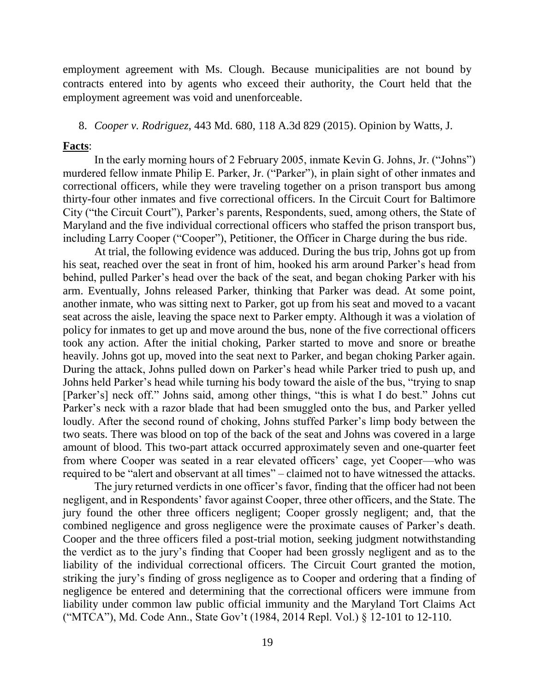employment agreement with Ms. Clough. Because municipalities are not bound by contracts entered into by agents who exceed their authority, the Court held that the employment agreement was void and unenforceable.

#### 8. *Cooper v. Rodriguez*, 443 Md. 680, 118 A.3d 829 (2015). Opinion by Watts, J.

#### **Facts**:

In the early morning hours of 2 February 2005, inmate Kevin G. Johns, Jr. ("Johns") murdered fellow inmate Philip E. Parker, Jr. ("Parker"), in plain sight of other inmates and correctional officers, while they were traveling together on a prison transport bus among thirty-four other inmates and five correctional officers. In the Circuit Court for Baltimore City ("the Circuit Court"), Parker's parents, Respondents, sued, among others, the State of Maryland and the five individual correctional officers who staffed the prison transport bus, including Larry Cooper ("Cooper"), Petitioner, the Officer in Charge during the bus ride.

At trial, the following evidence was adduced. During the bus trip, Johns got up from his seat, reached over the seat in front of him, hooked his arm around Parker's head from behind, pulled Parker's head over the back of the seat, and began choking Parker with his arm. Eventually, Johns released Parker, thinking that Parker was dead. At some point, another inmate, who was sitting next to Parker, got up from his seat and moved to a vacant seat across the aisle, leaving the space next to Parker empty. Although it was a violation of policy for inmates to get up and move around the bus, none of the five correctional officers took any action. After the initial choking, Parker started to move and snore or breathe heavily. Johns got up, moved into the seat next to Parker, and began choking Parker again. During the attack, Johns pulled down on Parker's head while Parker tried to push up, and Johns held Parker's head while turning his body toward the aisle of the bus, "trying to snap [Parker's] neck off." Johns said, among other things, "this is what I do best." Johns cut Parker's neck with a razor blade that had been smuggled onto the bus, and Parker yelled loudly. After the second round of choking, Johns stuffed Parker's limp body between the two seats. There was blood on top of the back of the seat and Johns was covered in a large amount of blood. This two-part attack occurred approximately seven and one-quarter feet from where Cooper was seated in a rear elevated officers' cage, yet Cooper—who was required to be "alert and observant at all times" – claimed not to have witnessed the attacks.

The jury returned verdicts in one officer's favor, finding that the officer had not been negligent, and in Respondents' favor against Cooper, three other officers, and the State. The jury found the other three officers negligent; Cooper grossly negligent; and, that the combined negligence and gross negligence were the proximate causes of Parker's death. Cooper and the three officers filed a post-trial motion, seeking judgment notwithstanding the verdict as to the jury's finding that Cooper had been grossly negligent and as to the liability of the individual correctional officers. The Circuit Court granted the motion, striking the jury's finding of gross negligence as to Cooper and ordering that a finding of negligence be entered and determining that the correctional officers were immune from liability under common law public official immunity and the Maryland Tort Claims Act ("MTCA"), Md. Code Ann., State Gov't (1984, 2014 Repl. Vol.) § 12-101 to 12-110.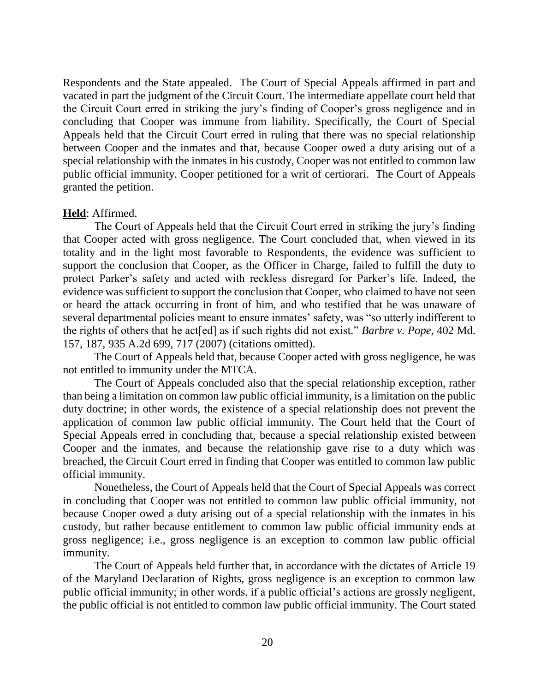Respondents and the State appealed. The Court of Special Appeals affirmed in part and vacated in part the judgment of the Circuit Court. The intermediate appellate court held that the Circuit Court erred in striking the jury's finding of Cooper's gross negligence and in concluding that Cooper was immune from liability. Specifically, the Court of Special Appeals held that the Circuit Court erred in ruling that there was no special relationship between Cooper and the inmates and that, because Cooper owed a duty arising out of a special relationship with the inmates in his custody, Cooper was not entitled to common law public official immunity. Cooper petitioned for a writ of certiorari. The Court of Appeals granted the petition.

## **Held**: Affirmed.

The Court of Appeals held that the Circuit Court erred in striking the jury's finding that Cooper acted with gross negligence. The Court concluded that, when viewed in its totality and in the light most favorable to Respondents, the evidence was sufficient to support the conclusion that Cooper, as the Officer in Charge, failed to fulfill the duty to protect Parker's safety and acted with reckless disregard for Parker's life. Indeed, the evidence was sufficient to support the conclusion that Cooper, who claimed to have not seen or heard the attack occurring in front of him, and who testified that he was unaware of several departmental policies meant to ensure inmates' safety, was "so utterly indifferent to the rights of others that he act[ed] as if such rights did not exist." *Barbre v. Pope*, 402 Md. 157, 187, 935 A.2d 699, 717 (2007) (citations omitted).

The Court of Appeals held that, because Cooper acted with gross negligence, he was not entitled to immunity under the MTCA.

The Court of Appeals concluded also that the special relationship exception, rather than being a limitation on common law public official immunity, is a limitation on the public duty doctrine; in other words, the existence of a special relationship does not prevent the application of common law public official immunity. The Court held that the Court of Special Appeals erred in concluding that, because a special relationship existed between Cooper and the inmates, and because the relationship gave rise to a duty which was breached, the Circuit Court erred in finding that Cooper was entitled to common law public official immunity.

Nonetheless, the Court of Appeals held that the Court of Special Appeals was correct in concluding that Cooper was not entitled to common law public official immunity, not because Cooper owed a duty arising out of a special relationship with the inmates in his custody, but rather because entitlement to common law public official immunity ends at gross negligence; i.e., gross negligence is an exception to common law public official immunity.

The Court of Appeals held further that, in accordance with the dictates of Article 19 of the Maryland Declaration of Rights, gross negligence is an exception to common law public official immunity; in other words, if a public official's actions are grossly negligent, the public official is not entitled to common law public official immunity. The Court stated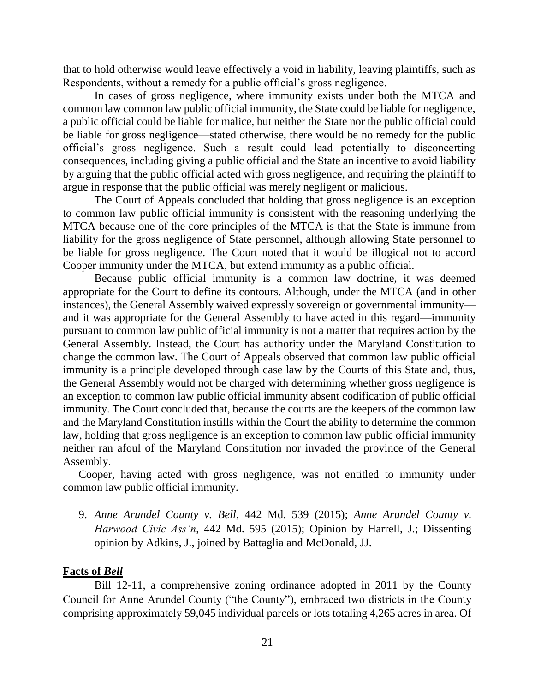that to hold otherwise would leave effectively a void in liability, leaving plaintiffs, such as Respondents, without a remedy for a public official's gross negligence.

In cases of gross negligence, where immunity exists under both the MTCA and common law common law public official immunity, the State could be liable for negligence, a public official could be liable for malice, but neither the State nor the public official could be liable for gross negligence—stated otherwise, there would be no remedy for the public official's gross negligence. Such a result could lead potentially to disconcerting consequences, including giving a public official and the State an incentive to avoid liability by arguing that the public official acted with gross negligence, and requiring the plaintiff to argue in response that the public official was merely negligent or malicious.

The Court of Appeals concluded that holding that gross negligence is an exception to common law public official immunity is consistent with the reasoning underlying the MTCA because one of the core principles of the MTCA is that the State is immune from liability for the gross negligence of State personnel, although allowing State personnel to be liable for gross negligence. The Court noted that it would be illogical not to accord Cooper immunity under the MTCA, but extend immunity as a public official.

Because public official immunity is a common law doctrine, it was deemed appropriate for the Court to define its contours. Although, under the MTCA (and in other instances), the General Assembly waived expressly sovereign or governmental immunity and it was appropriate for the General Assembly to have acted in this regard—immunity pursuant to common law public official immunity is not a matter that requires action by the General Assembly. Instead, the Court has authority under the Maryland Constitution to change the common law. The Court of Appeals observed that common law public official immunity is a principle developed through case law by the Courts of this State and, thus, the General Assembly would not be charged with determining whether gross negligence is an exception to common law public official immunity absent codification of public official immunity. The Court concluded that, because the courts are the keepers of the common law and the Maryland Constitution instills within the Court the ability to determine the common law, holding that gross negligence is an exception to common law public official immunity neither ran afoul of the Maryland Constitution nor invaded the province of the General Assembly.

Cooper, having acted with gross negligence, was not entitled to immunity under common law public official immunity.

9. *Anne Arundel County v. Bell*, 442 Md. 539 (2015); *Anne Arundel County v. Harwood Civic Ass'n*, 442 Md. 595 (2015); Opinion by Harrell, J.; Dissenting opinion by Adkins, J., joined by Battaglia and McDonald, JJ.

## **Facts of** *Bell*

Bill 12-11, a comprehensive zoning ordinance adopted in 2011 by the County Council for Anne Arundel County ("the County"), embraced two districts in the County comprising approximately 59,045 individual parcels or lots totaling 4,265 acres in area. Of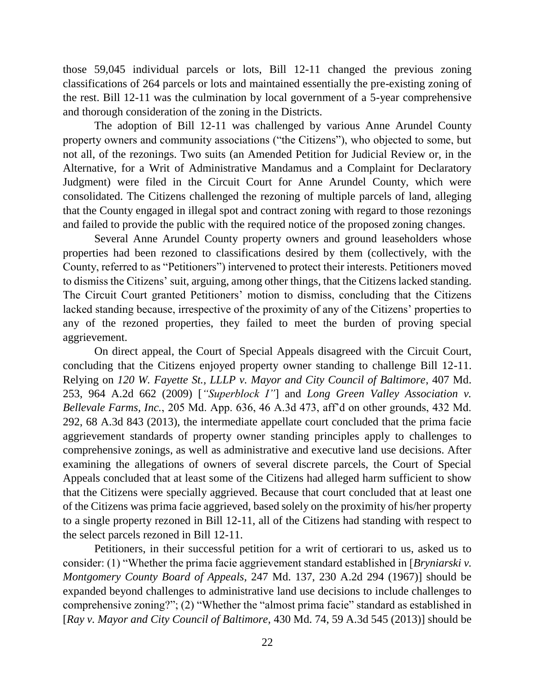those 59,045 individual parcels or lots, Bill 12-11 changed the previous zoning classifications of 264 parcels or lots and maintained essentially the pre-existing zoning of the rest. Bill 12-11 was the culmination by local government of a 5-year comprehensive and thorough consideration of the zoning in the Districts.

The adoption of Bill 12-11 was challenged by various Anne Arundel County property owners and community associations ("the Citizens"), who objected to some, but not all, of the rezonings. Two suits (an Amended Petition for Judicial Review or, in the Alternative, for a Writ of Administrative Mandamus and a Complaint for Declaratory Judgment) were filed in the Circuit Court for Anne Arundel County, which were consolidated. The Citizens challenged the rezoning of multiple parcels of land, alleging that the County engaged in illegal spot and contract zoning with regard to those rezonings and failed to provide the public with the required notice of the proposed zoning changes.

Several Anne Arundel County property owners and ground leaseholders whose properties had been rezoned to classifications desired by them (collectively, with the County, referred to as "Petitioners") intervened to protect their interests. Petitioners moved to dismiss the Citizens' suit, arguing, among other things, that the Citizens lacked standing. The Circuit Court granted Petitioners' motion to dismiss, concluding that the Citizens lacked standing because, irrespective of the proximity of any of the Citizens' properties to any of the rezoned properties, they failed to meet the burden of proving special aggrievement.

On direct appeal, the Court of Special Appeals disagreed with the Circuit Court, concluding that the Citizens enjoyed property owner standing to challenge Bill 12-11. Relying on *120 W. Fayette St., LLLP v. Mayor and City Council of Baltimore*, 407 Md. 253, 964 A.2d 662 (2009) [*"Superblock I"*] and *Long Green Valley Association v. Bellevale Farms, Inc.*, 205 Md. App. 636, 46 A.3d 473, aff'd on other grounds, 432 Md. 292, 68 A.3d 843 (2013), the intermediate appellate court concluded that the prima facie aggrievement standards of property owner standing principles apply to challenges to comprehensive zonings, as well as administrative and executive land use decisions. After examining the allegations of owners of several discrete parcels, the Court of Special Appeals concluded that at least some of the Citizens had alleged harm sufficient to show that the Citizens were specially aggrieved. Because that court concluded that at least one of the Citizens was prima facie aggrieved, based solely on the proximity of his/her property to a single property rezoned in Bill 12-11, all of the Citizens had standing with respect to the select parcels rezoned in Bill 12-11.

Petitioners, in their successful petition for a writ of certiorari to us, asked us to consider: (1) "Whether the prima facie aggrievement standard established in [*Bryniarski v. Montgomery County Board of Appeals*, 247 Md. 137, 230 A.2d 294 (1967)] should be expanded beyond challenges to administrative land use decisions to include challenges to comprehensive zoning?"; (2) "Whether the "almost prima facie" standard as established in [*Ray v. Mayor and City Council of Baltimore*, 430 Md. 74, 59 A.3d 545 (2013)] should be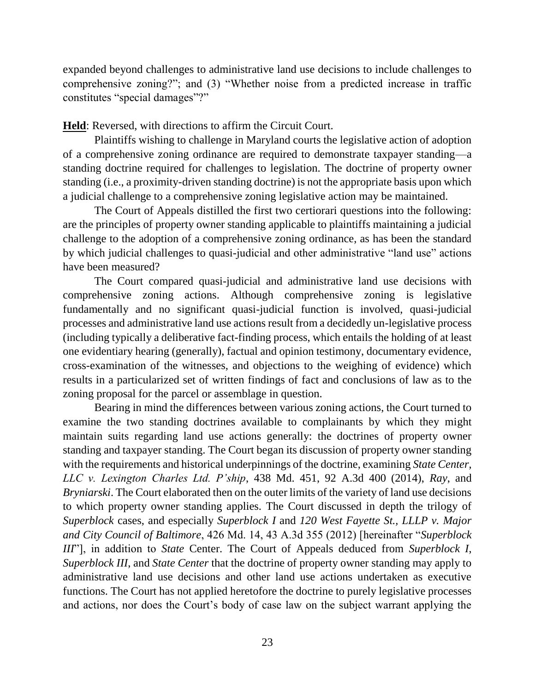expanded beyond challenges to administrative land use decisions to include challenges to comprehensive zoning?"; and (3) "Whether noise from a predicted increase in traffic constitutes "special damages"?"

**Held**: Reversed, with directions to affirm the Circuit Court.

Plaintiffs wishing to challenge in Maryland courts the legislative action of adoption of a comprehensive zoning ordinance are required to demonstrate taxpayer standing—a standing doctrine required for challenges to legislation. The doctrine of property owner standing (i.e., a proximity-driven standing doctrine) is not the appropriate basis upon which a judicial challenge to a comprehensive zoning legislative action may be maintained.

The Court of Appeals distilled the first two certiorari questions into the following: are the principles of property owner standing applicable to plaintiffs maintaining a judicial challenge to the adoption of a comprehensive zoning ordinance, as has been the standard by which judicial challenges to quasi-judicial and other administrative "land use" actions have been measured?

The Court compared quasi-judicial and administrative land use decisions with comprehensive zoning actions. Although comprehensive zoning is legislative fundamentally and no significant quasi-judicial function is involved, quasi-judicial processes and administrative land use actions result from a decidedly un-legislative process (including typically a deliberative fact-finding process, which entails the holding of at least one evidentiary hearing (generally), factual and opinion testimony, documentary evidence, cross-examination of the witnesses, and objections to the weighing of evidence) which results in a particularized set of written findings of fact and conclusions of law as to the zoning proposal for the parcel or assemblage in question.

Bearing in mind the differences between various zoning actions, the Court turned to examine the two standing doctrines available to complainants by which they might maintain suits regarding land use actions generally: the doctrines of property owner standing and taxpayer standing. The Court began its discussion of property owner standing with the requirements and historical underpinnings of the doctrine, examining *State Center, LLC v. Lexington Charles Ltd. P'ship*, 438 Md. 451, 92 A.3d 400 (2014), *Ray*, and *Bryniarski*. The Court elaborated then on the outer limits of the variety of land use decisions to which property owner standing applies. The Court discussed in depth the trilogy of *Superblock* cases, and especially *Superblock I* and *120 West Fayette St., LLLP v. Major and City Council of Baltimore*, 426 Md. 14, 43 A.3d 355 (2012) [hereinafter "*Superblock III*"], in addition to *State* Center. The Court of Appeals deduced from *Superblock I*, *Superblock III*, and *State Center* that the doctrine of property owner standing may apply to administrative land use decisions and other land use actions undertaken as executive functions. The Court has not applied heretofore the doctrine to purely legislative processes and actions, nor does the Court's body of case law on the subject warrant applying the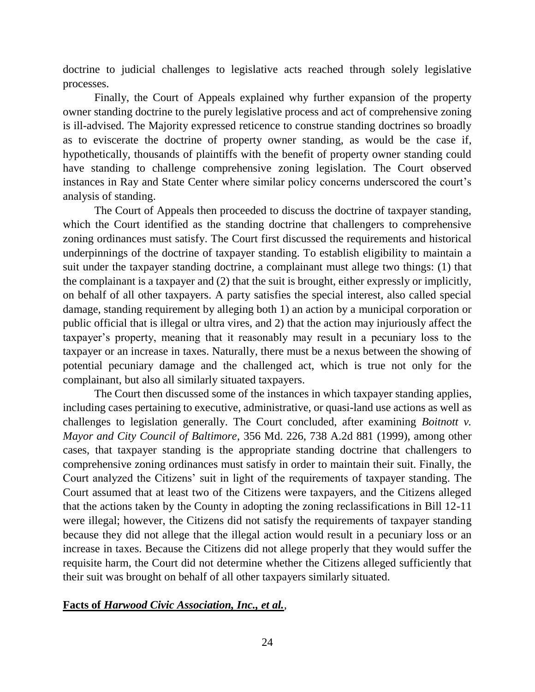doctrine to judicial challenges to legislative acts reached through solely legislative processes.

Finally, the Court of Appeals explained why further expansion of the property owner standing doctrine to the purely legislative process and act of comprehensive zoning is ill-advised. The Majority expressed reticence to construe standing doctrines so broadly as to eviscerate the doctrine of property owner standing, as would be the case if, hypothetically, thousands of plaintiffs with the benefit of property owner standing could have standing to challenge comprehensive zoning legislation. The Court observed instances in Ray and State Center where similar policy concerns underscored the court's analysis of standing.

The Court of Appeals then proceeded to discuss the doctrine of taxpayer standing, which the Court identified as the standing doctrine that challengers to comprehensive zoning ordinances must satisfy. The Court first discussed the requirements and historical underpinnings of the doctrine of taxpayer standing. To establish eligibility to maintain a suit under the taxpayer standing doctrine, a complainant must allege two things: (1) that the complainant is a taxpayer and (2) that the suit is brought, either expressly or implicitly, on behalf of all other taxpayers. A party satisfies the special interest, also called special damage, standing requirement by alleging both 1) an action by a municipal corporation or public official that is illegal or ultra vires, and 2) that the action may injuriously affect the taxpayer's property, meaning that it reasonably may result in a pecuniary loss to the taxpayer or an increase in taxes. Naturally, there must be a nexus between the showing of potential pecuniary damage and the challenged act, which is true not only for the complainant, but also all similarly situated taxpayers.

The Court then discussed some of the instances in which taxpayer standing applies, including cases pertaining to executive, administrative, or quasi-land use actions as well as challenges to legislation generally. The Court concluded, after examining *Boitnott v. Mayor and City Council of Baltimore*, 356 Md. 226, 738 A.2d 881 (1999), among other cases, that taxpayer standing is the appropriate standing doctrine that challengers to comprehensive zoning ordinances must satisfy in order to maintain their suit. Finally, the Court analyzed the Citizens' suit in light of the requirements of taxpayer standing. The Court assumed that at least two of the Citizens were taxpayers, and the Citizens alleged that the actions taken by the County in adopting the zoning reclassifications in Bill 12-11 were illegal; however, the Citizens did not satisfy the requirements of taxpayer standing because they did not allege that the illegal action would result in a pecuniary loss or an increase in taxes. Because the Citizens did not allege properly that they would suffer the requisite harm, the Court did not determine whether the Citizens alleged sufficiently that their suit was brought on behalf of all other taxpayers similarly situated.

#### **Facts of** *Harwood Civic Association, Inc., et al.*,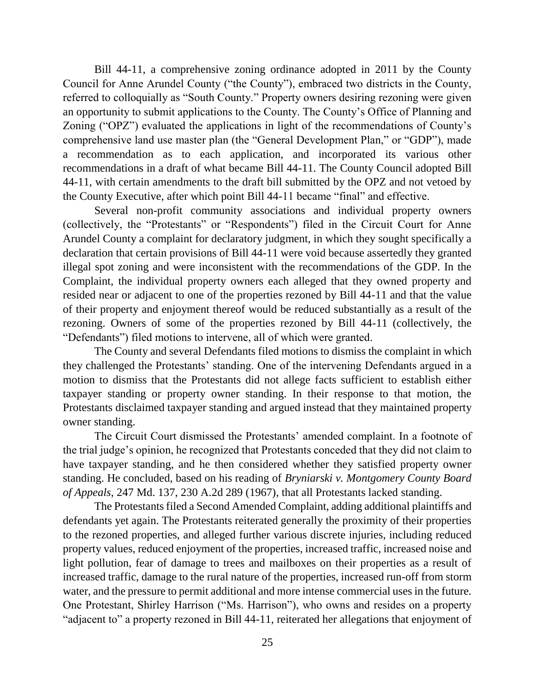Bill 44-11, a comprehensive zoning ordinance adopted in 2011 by the County Council for Anne Arundel County ("the County"), embraced two districts in the County, referred to colloquially as "South County." Property owners desiring rezoning were given an opportunity to submit applications to the County. The County's Office of Planning and Zoning ("OPZ") evaluated the applications in light of the recommendations of County's comprehensive land use master plan (the "General Development Plan," or "GDP"), made a recommendation as to each application, and incorporated its various other recommendations in a draft of what became Bill 44-11. The County Council adopted Bill 44-11, with certain amendments to the draft bill submitted by the OPZ and not vetoed by the County Executive, after which point Bill 44-11 became "final" and effective.

Several non-profit community associations and individual property owners (collectively, the "Protestants" or "Respondents") filed in the Circuit Court for Anne Arundel County a complaint for declaratory judgment, in which they sought specifically a declaration that certain provisions of Bill 44-11 were void because assertedly they granted illegal spot zoning and were inconsistent with the recommendations of the GDP. In the Complaint, the individual property owners each alleged that they owned property and resided near or adjacent to one of the properties rezoned by Bill 44-11 and that the value of their property and enjoyment thereof would be reduced substantially as a result of the rezoning. Owners of some of the properties rezoned by Bill 44-11 (collectively, the "Defendants") filed motions to intervene, all of which were granted.

The County and several Defendants filed motions to dismiss the complaint in which they challenged the Protestants' standing. One of the intervening Defendants argued in a motion to dismiss that the Protestants did not allege facts sufficient to establish either taxpayer standing or property owner standing. In their response to that motion, the Protestants disclaimed taxpayer standing and argued instead that they maintained property owner standing.

The Circuit Court dismissed the Protestants' amended complaint. In a footnote of the trial judge's opinion, he recognized that Protestants conceded that they did not claim to have taxpayer standing, and he then considered whether they satisfied property owner standing. He concluded, based on his reading of *Bryniarski v. Montgomery County Board of Appeals*, 247 Md. 137, 230 A.2d 289 (1967), that all Protestants lacked standing.

The Protestants filed a Second Amended Complaint, adding additional plaintiffs and defendants yet again. The Protestants reiterated generally the proximity of their properties to the rezoned properties, and alleged further various discrete injuries, including reduced property values, reduced enjoyment of the properties, increased traffic, increased noise and light pollution, fear of damage to trees and mailboxes on their properties as a result of increased traffic, damage to the rural nature of the properties, increased run-off from storm water, and the pressure to permit additional and more intense commercial uses in the future. One Protestant, Shirley Harrison ("Ms. Harrison"), who owns and resides on a property "adjacent to" a property rezoned in Bill 44-11, reiterated her allegations that enjoyment of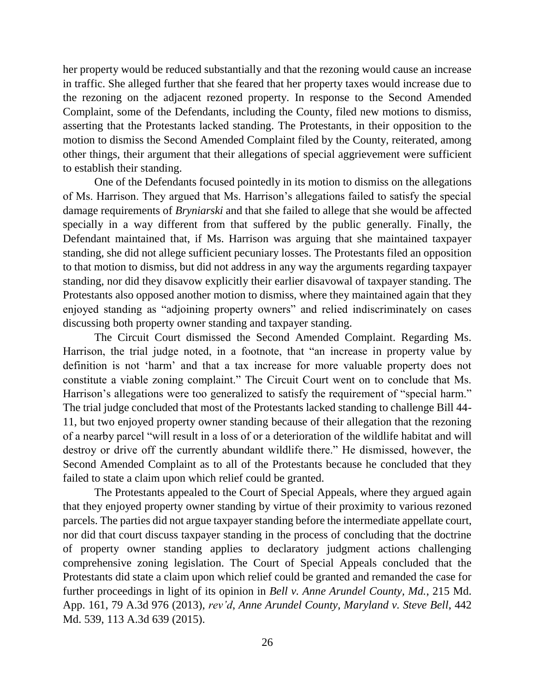her property would be reduced substantially and that the rezoning would cause an increase in traffic. She alleged further that she feared that her property taxes would increase due to the rezoning on the adjacent rezoned property. In response to the Second Amended Complaint, some of the Defendants, including the County, filed new motions to dismiss, asserting that the Protestants lacked standing. The Protestants, in their opposition to the motion to dismiss the Second Amended Complaint filed by the County, reiterated, among other things, their argument that their allegations of special aggrievement were sufficient to establish their standing.

One of the Defendants focused pointedly in its motion to dismiss on the allegations of Ms. Harrison. They argued that Ms. Harrison's allegations failed to satisfy the special damage requirements of *Bryniarski* and that she failed to allege that she would be affected specially in a way different from that suffered by the public generally. Finally, the Defendant maintained that, if Ms. Harrison was arguing that she maintained taxpayer standing, she did not allege sufficient pecuniary losses. The Protestants filed an opposition to that motion to dismiss, but did not address in any way the arguments regarding taxpayer standing, nor did they disavow explicitly their earlier disavowal of taxpayer standing. The Protestants also opposed another motion to dismiss, where they maintained again that they enjoyed standing as "adjoining property owners" and relied indiscriminately on cases discussing both property owner standing and taxpayer standing.

The Circuit Court dismissed the Second Amended Complaint. Regarding Ms. Harrison, the trial judge noted, in a footnote, that "an increase in property value by definition is not 'harm' and that a tax increase for more valuable property does not constitute a viable zoning complaint." The Circuit Court went on to conclude that Ms. Harrison's allegations were too generalized to satisfy the requirement of "special harm." The trial judge concluded that most of the Protestants lacked standing to challenge Bill 44- 11, but two enjoyed property owner standing because of their allegation that the rezoning of a nearby parcel "will result in a loss of or a deterioration of the wildlife habitat and will destroy or drive off the currently abundant wildlife there." He dismissed, however, the Second Amended Complaint as to all of the Protestants because he concluded that they failed to state a claim upon which relief could be granted.

The Protestants appealed to the Court of Special Appeals, where they argued again that they enjoyed property owner standing by virtue of their proximity to various rezoned parcels. The parties did not argue taxpayer standing before the intermediate appellate court, nor did that court discuss taxpayer standing in the process of concluding that the doctrine of property owner standing applies to declaratory judgment actions challenging comprehensive zoning legislation. The Court of Special Appeals concluded that the Protestants did state a claim upon which relief could be granted and remanded the case for further proceedings in light of its opinion in *Bell v. Anne Arundel County, Md.*, 215 Md. App. 161, 79 A.3d 976 (2013), *rev'd*, *Anne Arundel County, Maryland v. Steve Bell*, 442 Md. 539, 113 A.3d 639 (2015).